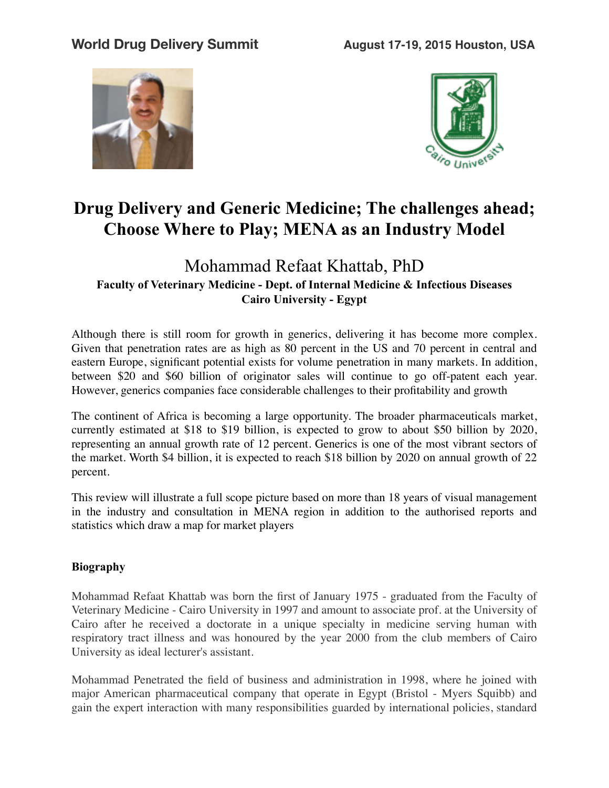



## **Drug Delivery and Generic Medicine; The challenges ahead; Choose Where to Play; MENA as an Industry Model**

## Mohammad Refaat Khattab, PhD **Faculty of Veterinary Medicine - Dept. of Internal Medicine & Infectious Diseases Cairo University - Egypt**

Although there is still room for growth in generics, delivering it has become more complex. Given that penetration rates are as high as 80 percent in the US and 70 percent in central and eastern Europe, significant potential exists for volume penetration in many markets. In addition, between \$20 and \$60 billion of originator sales will continue to go off-patent each year. However, generics companies face considerable challenges to their profitability and growth

The continent of Africa is becoming a large opportunity. The broader pharmaceuticals market, currently estimated at \$18 to \$19 billion, is expected to grow to about \$50 billion by 2020, representing an annual growth rate of 12 percent. Generics is one of the most vibrant sectors of the market. Worth \$4 billion, it is expected to reach \$18 billion by 2020 on annual growth of 22 percent.

This review will illustrate a full scope picture based on more than 18 years of visual management in the industry and consultation in MENA region in addition to the authorised reports and statistics which draw a map for market players

## **Biography**

Mohammad Refaat Khattab was born the first of January 1975 - graduated from the Faculty of Veterinary Medicine - Cairo University in 1997 and amount to associate prof. at the University of Cairo after he received a doctorate in a unique specialty in medicine serving human with respiratory tract illness and was honoured by the year 2000 from the club members of Cairo University as ideal lecturer's assistant.

Mohammad Penetrated the field of business and administration in 1998, where he joined with major American pharmaceutical company that operate in Egypt (Bristol - Myers Squibb) and gain the expert interaction with many responsibilities guarded by international policies, standard